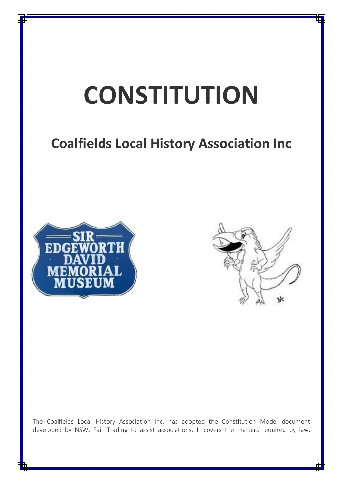# **CONSTITUTION Coalfields Local History Association Inc** B) The Coalfields Local History Association Inc. has adopted the Constitution Model document developed by NSW, Fair Trading to assist associations. It covers the matters required by law.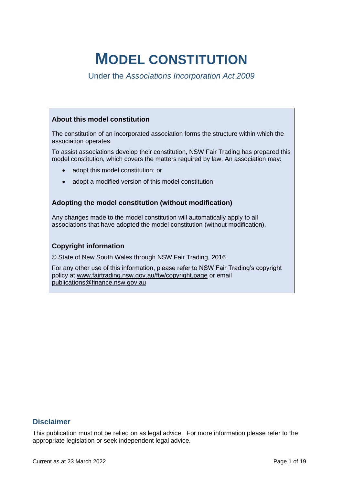# **MODEL CONSTITUTION**

Under the *Associations Incorporation Act 2009*

#### **About this model constitution**

The constitution of an incorporated association forms the structure within which the association operates.

To assist associations develop their constitution, NSW Fair Trading has prepared this model constitution, which covers the matters required by law. An association may:

- adopt this model constitution; or
- adopt a modified version of this model constitution.

#### **Adopting the model constitution (without modification)**

Any changes made to the model constitution will automatically apply to all associations that have adopted the model constitution (without modification).

#### **Copyright information**

© State of New South Wales through NSW Fair Trading, 2016

For any other use of this information, please refer to NSW Fair Trading's copyright policy at [www.fairtrading.nsw.gov.au/ftw/copyright.page](http://www.fairtrading.nsw.gov.au/ftw/copyright.page) or email [publications@finance.nsw.gov.au](mailto:publications@finance.nsw.gov.au)

#### **Disclaimer**

This publication must not be relied on as legal advice. For more information please refer to the appropriate legislation or seek independent legal advice.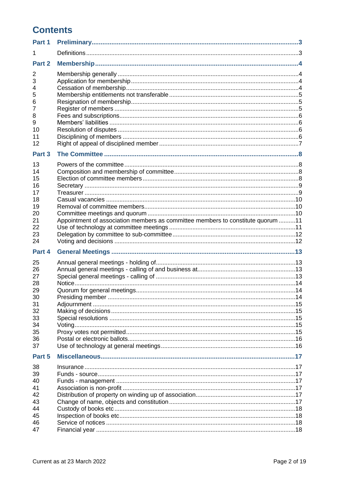# **Contents**

| Part 1                                                                     |                                                                                 |  |
|----------------------------------------------------------------------------|---------------------------------------------------------------------------------|--|
| 1                                                                          |                                                                                 |  |
| Part 2                                                                     |                                                                                 |  |
| 2<br>3<br>4<br>5<br>6<br>7<br>8<br>9<br>10<br>11<br>12                     |                                                                                 |  |
| Part 3                                                                     |                                                                                 |  |
| 13<br>14<br>15<br>16<br>17<br>18<br>19<br>20<br>21<br>22<br>23<br>24       | Appointment of association members as committee members to constitute quorum 11 |  |
| Part 4                                                                     |                                                                                 |  |
| 25<br>26<br>27<br>28<br>29<br>30<br>31<br>32<br>33<br>34<br>35<br>36<br>37 |                                                                                 |  |
| Part 5                                                                     |                                                                                 |  |
| 38<br>39<br>40<br>41<br>42<br>43<br>44<br>45<br>46<br>47                   |                                                                                 |  |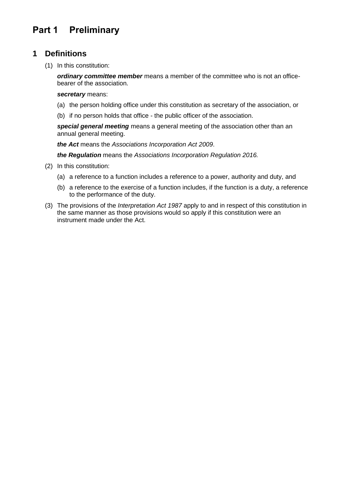# <span id="page-3-0"></span>**Part 1 Preliminary**

#### <span id="page-3-1"></span>**1 Definitions**

(1) In this constitution:

*ordinary committee member* means a member of the committee who is not an officebearer of the association.

#### *secretary* means:

- (a) the person holding office under this constitution as secretary of the association, or
- (b) if no person holds that office the public officer of the association.

*special general meeting* means a general meeting of the association other than an annual general meeting.

*the Act* means the *[Associations Incorporation Act 2009](http://www.legislation.nsw.gov.au/xref/inforce/?xref=Type%3Dact%20AND%20Year%3D2009%20AND%20no%3D7&nohits=y)*.

*the Regulation* means the *[Associations Incorporation Regulation 2016.](http://www.legislation.nsw.gov.au/xref/inforce/?xref=Type%3Dsubordleg%20AND%20Year%3D2010%20AND%20No%3D238&nohits=y)*

- (2) In this constitution:
	- (a) a reference to a function includes a reference to a power, authority and duty, and
	- (b) a reference to the exercise of a function includes, if the function is a duty, a reference to the performance of the duty.
- (3) The provisions of the *[Interpretation Act 1987](http://www.legislation.nsw.gov.au/xref/inforce/?xref=Type%3Dact%20AND%20Year%3D1987%20AND%20no%3D15&nohits=y)* apply to and in respect of this constitution in the same manner as those provisions would so apply if this constitution were an instrument made under the Act.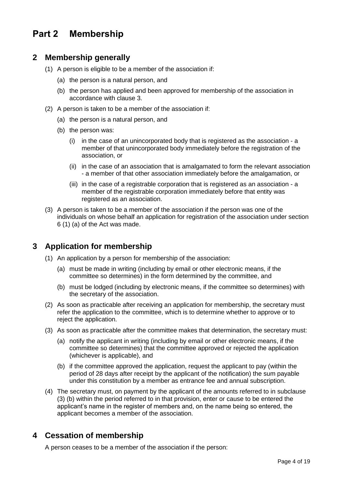# <span id="page-4-0"></span>**Part 2 Membership**

#### <span id="page-4-1"></span>**2 Membership generally**

- (1) A person is eligible to be a member of the association if:
	- (a) the person is a natural person, and
	- (b) the person has applied and been approved for membership of the association in accordance with clause 3.
- (2) A person is taken to be a member of the association if:
	- (a) the person is a natural person, and
	- (b) the person was:
		- (i) in the case of an unincorporated body that is registered as the association a member of that unincorporated body immediately before the registration of the association, or
		- (ii) in the case of an association that is amalgamated to form the relevant association - a member of that other association immediately before the amalgamation, or
		- (iii) in the case of a registrable corporation that is registered as an association a member of the registrable corporation immediately before that entity was registered as an association.
- (3) A person is taken to be a member of the association if the person was one of the individuals on whose behalf an application for registration of the association under section 6 (1) (a) of the Act was made.

#### <span id="page-4-2"></span>**3 Application for membership**

- (1) An application by a person for membership of the association:
	- (a) must be made in writing (including by email or other electronic means, if the committee so determines) in the form determined by the committee, and
	- (b) must be lodged (including by electronic means, if the committee so determines) with the secretary of the association.
- (2) As soon as practicable after receiving an application for membership, the secretary must refer the application to the committee, which is to determine whether to approve or to reject the application.
- (3) As soon as practicable after the committee makes that determination, the secretary must:
	- (a) notify the applicant in writing (including by email or other electronic means, if the committee so determines) that the committee approved or rejected the application (whichever is applicable), and
	- (b) if the committee approved the application, request the applicant to pay (within the period of 28 days after receipt by the applicant of the notification) the sum payable under this constitution by a member as entrance fee and annual subscription.
- (4) The secretary must, on payment by the applicant of the amounts referred to in subclause (3) (b) within the period referred to in that provision, enter or cause to be entered the applicant's name in the register of members and, on the name being so entered, the applicant becomes a member of the association.

#### <span id="page-4-3"></span>**4 Cessation of membership**

A person ceases to be a member of the association if the person: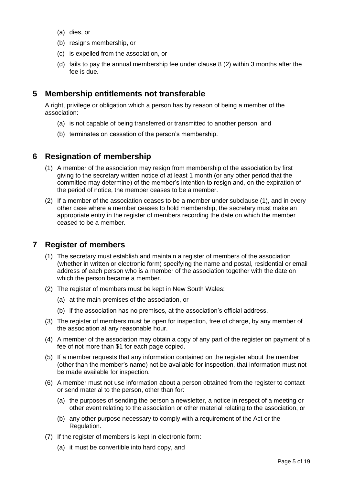- (a) dies, or
- (b) resigns membership, or
- (c) is expelled from the association, or
- (d) fails to pay the annual membership fee under clause 8 (2) within 3 months after the fee is due.

#### <span id="page-5-0"></span>**5 Membership entitlements not transferable**

A right, privilege or obligation which a person has by reason of being a member of the association:

- (a) is not capable of being transferred or transmitted to another person, and
- (b) terminates on cessation of the person's membership.

#### <span id="page-5-1"></span>**6 Resignation of membership**

- (1) A member of the association may resign from membership of the association by first giving to the secretary written notice of at least 1 month (or any other period that the committee may determine) of the member's intention to resign and, on the expiration of the period of notice, the member ceases to be a member.
- (2) If a member of the association ceases to be a member under subclause (1), and in every other case where a member ceases to hold membership, the secretary must make an appropriate entry in the register of members recording the date on which the member ceased to be a member.

#### <span id="page-5-2"></span>**7 Register of members**

- (1) The secretary must establish and maintain a register of members of the association (whether in written or electronic form) specifying the name and postal, residential or email address of each person who is a member of the association together with the date on which the person became a member.
- (2) The register of members must be kept in New South Wales:
	- (a) at the main premises of the association, or
	- (b) if the association has no premises, at the association's official address.
- (3) The register of members must be open for inspection, free of charge, by any member of the association at any reasonable hour.
- (4) A member of the association may obtain a copy of any part of the register on payment of a fee of not more than \$1 for each page copied.
- (5) If a member requests that any information contained on the register about the member (other than the member's name) not be available for inspection, that information must not be made available for inspection.
- (6) A member must not use information about a person obtained from the register to contact or send material to the person, other than for:
	- (a) the purposes of sending the person a newsletter, a notice in respect of a meeting or other event relating to the association or other material relating to the association, or
	- (b) any other purpose necessary to comply with a requirement of the Act or the Regulation.
- (7) If the register of members is kept in electronic form:
	- (a) it must be convertible into hard copy, and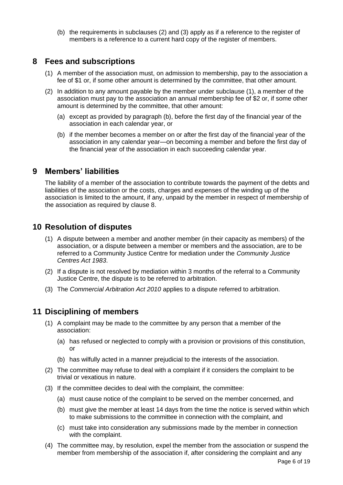(b) the requirements in subclauses (2) and (3) apply as if a reference to the register of members is a reference to a current hard copy of the register of members.

#### <span id="page-6-0"></span>**8 Fees and subscriptions**

- (1) A member of the association must, on admission to membership, pay to the association a fee of \$1 or, if some other amount is determined by the committee, that other amount.
- (2) In addition to any amount payable by the member under subclause (1), a member of the association must pay to the association an annual membership fee of \$2 or, if some other amount is determined by the committee, that other amount:
	- (a) except as provided by paragraph (b), before the first day of the financial year of the association in each calendar year, or
	- (b) if the member becomes a member on or after the first day of the financial year of the association in any calendar year—on becoming a member and before the first day of the financial year of the association in each succeeding calendar year.

#### <span id="page-6-1"></span>**9 Members' liabilities**

The liability of a member of the association to contribute towards the payment of the debts and liabilities of the association or the costs, charges and expenses of the winding up of the association is limited to the amount, if any, unpaid by the member in respect of membership of the association as required by clause 8.

#### <span id="page-6-2"></span>**10 Resolution of disputes**

- (1) A dispute between a member and another member (in their capacity as members) of the association, or a dispute between a member or members and the association, are to be referred to a Community Justice Centre for mediation under the *Community Justice Centres Act 1983*.
- (2) If a dispute is not resolved by mediation within 3 months of the referral to a Community Justice Centre, the dispute is to be referred to arbitration.
- (3) The *Commercial Arbitration Act 2010* applies to a dispute referred to arbitration.

# <span id="page-6-3"></span>**11 Disciplining of members**

- (1) A complaint may be made to the committee by any person that a member of the association:
	- (a) has refused or neglected to comply with a provision or provisions of this constitution, or
	- (b) has wilfully acted in a manner prejudicial to the interests of the association.
- (2) The committee may refuse to deal with a complaint if it considers the complaint to be trivial or vexatious in nature.
- (3) If the committee decides to deal with the complaint, the committee:
	- (a) must cause notice of the complaint to be served on the member concerned, and
	- (b) must give the member at least 14 days from the time the notice is served within which to make submissions to the committee in connection with the complaint, and
	- (c) must take into consideration any submissions made by the member in connection with the complaint.
- (4) The committee may, by resolution, expel the member from the association or suspend the member from membership of the association if, after considering the complaint and any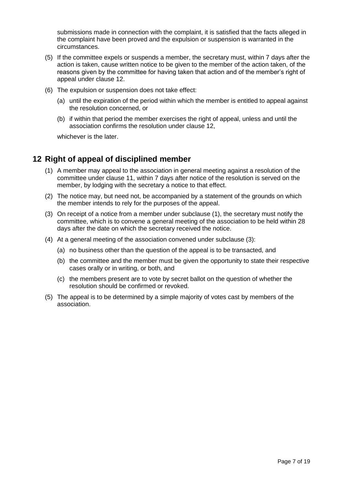submissions made in connection with the complaint, it is satisfied that the facts alleged in the complaint have been proved and the expulsion or suspension is warranted in the circumstances.

- (5) If the committee expels or suspends a member, the secretary must, within 7 days after the action is taken, cause written notice to be given to the member of the action taken, of the reasons given by the committee for having taken that action and of the member's right of appeal under clause 12.
- (6) The expulsion or suspension does not take effect:
	- (a) until the expiration of the period within which the member is entitled to appeal against the resolution concerned, or
	- (b) if within that period the member exercises the right of appeal, unless and until the association confirms the resolution under clause 12,

whichever is the later.

# <span id="page-7-0"></span>**12 Right of appeal of disciplined member**

- (1) A member may appeal to the association in general meeting against a resolution of the committee under clause 11, within 7 days after notice of the resolution is served on the member, by lodging with the secretary a notice to that effect.
- (2) The notice may, but need not, be accompanied by a statement of the grounds on which the member intends to rely for the purposes of the appeal.
- (3) On receipt of a notice from a member under subclause (1), the secretary must notify the committee, which is to convene a general meeting of the association to be held within 28 days after the date on which the secretary received the notice.
- (4) At a general meeting of the association convened under subclause (3):
	- (a) no business other than the question of the appeal is to be transacted, and
	- (b) the committee and the member must be given the opportunity to state their respective cases orally or in writing, or both, and
	- (c) the members present are to vote by secret ballot on the question of whether the resolution should be confirmed or revoked.
- (5) The appeal is to be determined by a simple majority of votes cast by members of the association.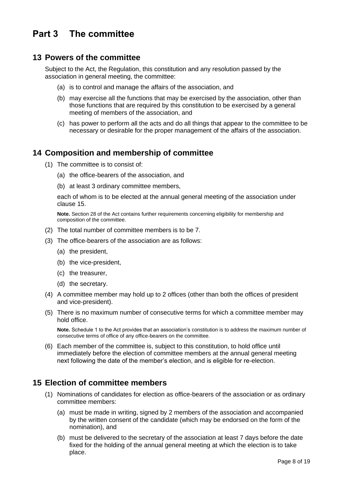# <span id="page-8-0"></span>**Part 3 The committee**

#### <span id="page-8-1"></span>**13 Powers of the committee**

Subject to the Act, the Regulation, this constitution and any resolution passed by the association in general meeting, the committee:

- (a) is to control and manage the affairs of the association, and
- (b) may exercise all the functions that may be exercised by the association, other than those functions that are required by this constitution to be exercised by a general meeting of members of the association, and
- (c) has power to perform all the acts and do all things that appear to the committee to be necessary or desirable for the proper management of the affairs of the association.

#### <span id="page-8-2"></span>**14 Composition and membership of committee**

- (1) The committee is to consist of:
	- (a) the office-bearers of the association, and
	- (b) at least 3 ordinary committee members,

each of whom is to be elected at the annual general meeting of the association under clause 15.

**Note.** Section 28 of the Act contains further requirements concerning eligibility for membership and composition of the committee.

- (2) The total number of committee members is to be 7.
- (3) The office-bearers of the association are as follows:
	- (a) the president,
	- (b) the vice-president,
	- (c) the treasurer,
	- (d) the secretary.
- (4) A committee member may hold up to 2 offices (other than both the offices of president and vice-president).
- (5) There is no maximum number of consecutive terms for which a committee member may hold office.

**Note.** Schedule 1 to the Act provides that an association's constitution is to address the maximum number of consecutive terms of office of any office-bearers on the committee.

(6) Each member of the committee is, subject to this constitution, to hold office until immediately before the election of committee members at the annual general meeting next following the date of the member's election, and is eligible for re-election.

#### <span id="page-8-3"></span>**15 Election of committee members**

- (1) Nominations of candidates for election as office-bearers of the association or as ordinary committee members:
	- (a) must be made in writing, signed by 2 members of the association and accompanied by the written consent of the candidate (which may be endorsed on the form of the nomination), and
	- (b) must be delivered to the secretary of the association at least 7 days before the date fixed for the holding of the annual general meeting at which the election is to take place.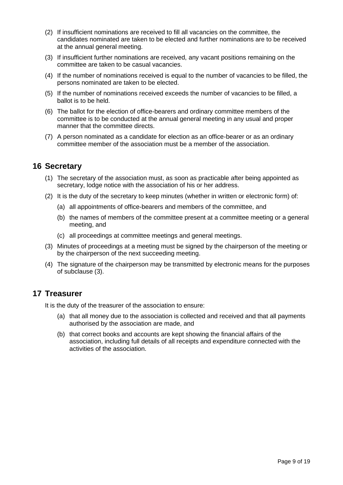- (2) If insufficient nominations are received to fill all vacancies on the committee, the candidates nominated are taken to be elected and further nominations are to be received at the annual general meeting.
- (3) If insufficient further nominations are received, any vacant positions remaining on the committee are taken to be casual vacancies.
- (4) If the number of nominations received is equal to the number of vacancies to be filled, the persons nominated are taken to be elected.
- (5) If the number of nominations received exceeds the number of vacancies to be filled, a ballot is to be held.
- (6) The ballot for the election of office-bearers and ordinary committee members of the committee is to be conducted at the annual general meeting in any usual and proper manner that the committee directs.
- (7) A person nominated as a candidate for election as an office-bearer or as an ordinary committee member of the association must be a member of the association.

#### <span id="page-9-0"></span>**16 Secretary**

- (1) The secretary of the association must, as soon as practicable after being appointed as secretary, lodge notice with the association of his or her address.
- (2) It is the duty of the secretary to keep minutes (whether in written or electronic form) of:
	- (a) all appointments of office-bearers and members of the committee, and
	- (b) the names of members of the committee present at a committee meeting or a general meeting, and
	- (c) all proceedings at committee meetings and general meetings.
- (3) Minutes of proceedings at a meeting must be signed by the chairperson of the meeting or by the chairperson of the next succeeding meeting.
- (4) The signature of the chairperson may be transmitted by electronic means for the purposes of subclause (3).

#### <span id="page-9-1"></span>**17 Treasurer**

It is the duty of the treasurer of the association to ensure:

- (a) that all money due to the association is collected and received and that all payments authorised by the association are made, and
- (b) that correct books and accounts are kept showing the financial affairs of the association, including full details of all receipts and expenditure connected with the activities of the association.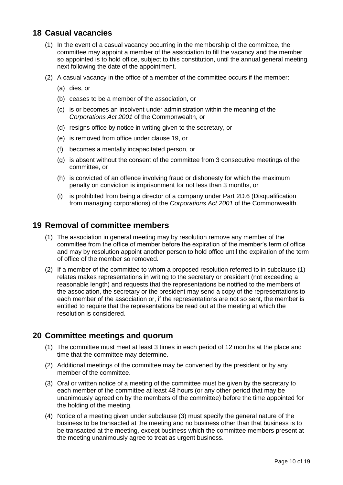# <span id="page-10-0"></span>**18 Casual vacancies**

- (1) In the event of a casual vacancy occurring in the membership of the committee, the committee may appoint a member of the association to fill the vacancy and the member so appointed is to hold office, subject to this constitution, until the annual general meeting next following the date of the appointment.
- (2) A casual vacancy in the office of a member of the committee occurs if the member:
	- (a) dies, or
	- (b) ceases to be a member of the association, or
	- (c) is or becomes an insolvent under administration within the meaning of the *[Corporations Act](http://www.comlaw.gov.au/) 2001* of the Commonwealth, or
	- (d) resigns office by notice in writing given to the secretary, or
	- (e) is removed from office under clause 19, or
	- (f) becomes a mentally incapacitated person, or
	- (g) is absent without the consent of the committee from 3 consecutive meetings of the committee, or
	- (h) is convicted of an offence involving fraud or dishonesty for which the maximum penalty on conviction is imprisonment for not less than 3 months, or
	- (i) is prohibited from being a director of a company under Part 2D.6 (Disqualification from managing corporations) of the *[Corporations Act 2001](http://www.comlaw.gov.au/)* of the Commonwealth.

#### <span id="page-10-1"></span>**19 Removal of committee members**

- (1) The association in general meeting may by resolution remove any member of the committee from the office of member before the expiration of the member's term of office and may by resolution appoint another person to hold office until the expiration of the term of office of the member so removed.
- (2) If a member of the committee to whom a proposed resolution referred to in subclause (1) relates makes representations in writing to the secretary or president (not exceeding a reasonable length) and requests that the representations be notified to the members of the association, the secretary or the president may send a copy of the representations to each member of the association or, if the representations are not so sent, the member is entitled to require that the representations be read out at the meeting at which the resolution is considered.

#### <span id="page-10-2"></span>**20 Committee meetings and quorum**

- (1) The committee must meet at least 3 times in each period of 12 months at the place and time that the committee may determine.
- (2) Additional meetings of the committee may be convened by the president or by any member of the committee.
- (3) Oral or written notice of a meeting of the committee must be given by the secretary to each member of the committee at least 48 hours (or any other period that may be unanimously agreed on by the members of the committee) before the time appointed for the holding of the meeting.
- (4) Notice of a meeting given under subclause (3) must specify the general nature of the business to be transacted at the meeting and no business other than that business is to be transacted at the meeting, except business which the committee members present at the meeting unanimously agree to treat as urgent business.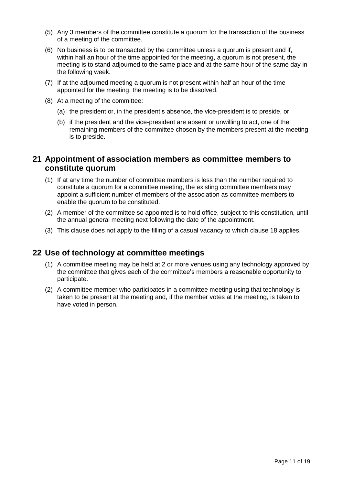- (5) Any 3 members of the committee constitute a quorum for the transaction of the business of a meeting of the committee.
- (6) No business is to be transacted by the committee unless a quorum is present and if, within half an hour of the time appointed for the meeting, a quorum is not present, the meeting is to stand adjourned to the same place and at the same hour of the same day in the following week.
- (7) If at the adjourned meeting a quorum is not present within half an hour of the time appointed for the meeting, the meeting is to be dissolved.
- (8) At a meeting of the committee:
	- (a) the president or, in the president's absence, the vice-president is to preside, or
	- (b) if the president and the vice-president are absent or unwilling to act, one of the remaining members of the committee chosen by the members present at the meeting is to preside.

#### <span id="page-11-0"></span>**21 Appointment of association members as committee members to constitute quorum**

- (1) If at any time the number of committee members is less than the number required to constitute a quorum for a committee meeting, the existing committee members may appoint a sufficient number of members of the association as committee members to enable the quorum to be constituted.
- (2) A member of the committee so appointed is to hold office, subject to this constitution, until the annual general meeting next following the date of the appointment.
- (3) This clause does not apply to the filling of a casual vacancy to which clause 18 applies.

#### <span id="page-11-1"></span>**22 Use of technology at committee meetings**

- (1) A committee meeting may be held at 2 or more venues using any technology approved by the committee that gives each of the committee's members a reasonable opportunity to participate.
- (2) A committee member who participates in a committee meeting using that technology is taken to be present at the meeting and, if the member votes at the meeting, is taken to have voted in person.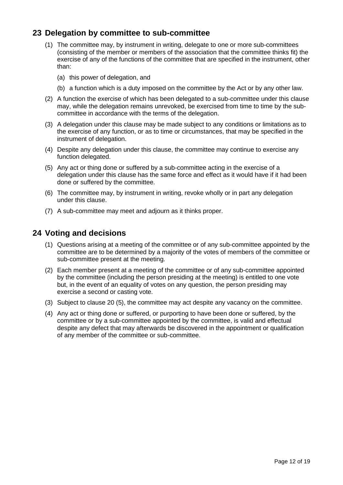# <span id="page-12-0"></span>**23 Delegation by committee to sub-committee**

- (1) The committee may, by instrument in writing, delegate to one or more sub-committees (consisting of the member or members of the association that the committee thinks fit) the exercise of any of the functions of the committee that are specified in the instrument, other than:
	- (a) this power of delegation, and
	- (b) a function which is a duty imposed on the committee by the Act or by any other law.
- (2) A function the exercise of which has been delegated to a sub-committee under this clause may, while the delegation remains unrevoked, be exercised from time to time by the subcommittee in accordance with the terms of the delegation.
- (3) A delegation under this clause may be made subject to any conditions or limitations as to the exercise of any function, or as to time or circumstances, that may be specified in the instrument of delegation.
- (4) Despite any delegation under this clause, the committee may continue to exercise any function delegated.
- (5) Any act or thing done or suffered by a sub-committee acting in the exercise of a delegation under this clause has the same force and effect as it would have if it had been done or suffered by the committee.
- (6) The committee may, by instrument in writing, revoke wholly or in part any delegation under this clause.
- (7) A sub-committee may meet and adjourn as it thinks proper.

#### <span id="page-12-1"></span>**24 Voting and decisions**

- (1) Questions arising at a meeting of the committee or of any sub-committee appointed by the committee are to be determined by a majority of the votes of members of the committee or sub-committee present at the meeting.
- (2) Each member present at a meeting of the committee or of any sub-committee appointed by the committee (including the person presiding at the meeting) is entitled to one vote but, in the event of an equality of votes on any question, the person presiding may exercise a second or casting vote.
- (3) Subject to clause 20 (5), the committee may act despite any vacancy on the committee.
- (4) Any act or thing done or suffered, or purporting to have been done or suffered, by the committee or by a sub-committee appointed by the committee, is valid and effectual despite any defect that may afterwards be discovered in the appointment or qualification of any member of the committee or sub-committee.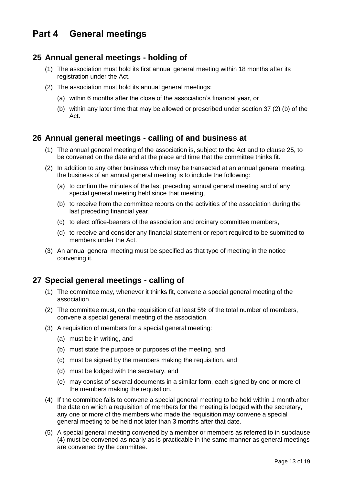# <span id="page-13-0"></span>**Part 4 General meetings**

#### <span id="page-13-1"></span>**25 Annual general meetings - holding of**

- (1) The association must hold its first annual general meeting within 18 months after its registration under the Act.
- (2) The association must hold its annual general meetings:
	- (a) within 6 months after the close of the association's financial year, or
	- (b) within any later time that may be allowed or prescribed under section 37 (2) (b) of the Act.

#### <span id="page-13-2"></span>**26 Annual general meetings - calling of and business at**

- (1) The annual general meeting of the association is, subject to the Act and to clause 25, to be convened on the date and at the place and time that the committee thinks fit.
- (2) In addition to any other business which may be transacted at an annual general meeting, the business of an annual general meeting is to include the following:
	- (a) to confirm the minutes of the last preceding annual general meeting and of any special general meeting held since that meeting,
	- (b) to receive from the committee reports on the activities of the association during the last preceding financial year,
	- (c) to elect office-bearers of the association and ordinary committee members,
	- (d) to receive and consider any financial statement or report required to be submitted to members under the Act.
- (3) An annual general meeting must be specified as that type of meeting in the notice convening it.

# <span id="page-13-3"></span>**27 Special general meetings - calling of**

- (1) The committee may, whenever it thinks fit, convene a special general meeting of the association.
- (2) The committee must, on the requisition of at least 5% of the total number of members, convene a special general meeting of the association.
- (3) A requisition of members for a special general meeting:
	- (a) must be in writing, and
	- (b) must state the purpose or purposes of the meeting, and
	- (c) must be signed by the members making the requisition, and
	- (d) must be lodged with the secretary, and
	- (e) may consist of several documents in a similar form, each signed by one or more of the members making the requisition.
- (4) If the committee fails to convene a special general meeting to be held within 1 month after the date on which a requisition of members for the meeting is lodged with the secretary, any one or more of the members who made the requisition may convene a special general meeting to be held not later than 3 months after that date.
- (5) A special general meeting convened by a member or members as referred to in subclause (4) must be convened as nearly as is practicable in the same manner as general meetings are convened by the committee.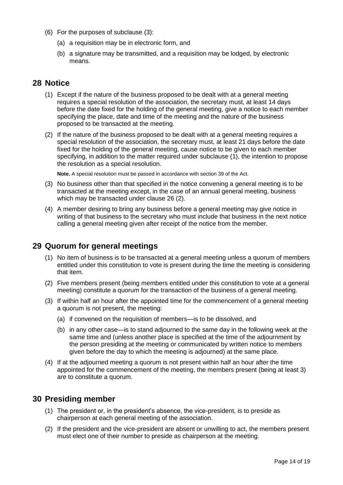- (6) For the purposes of subclause (3):
	- (a) a requisition may be in electronic form, and
	- (b) a signature may be transmitted, and a requisition may be lodged, by electronic means.

#### <span id="page-14-0"></span>**28 Notice**

- (1) Except if the nature of the business proposed to be dealt with at a general meeting requires a special resolution of the association, the secretary must, at least 14 days before the date fixed for the holding of the general meeting, give a notice to each member specifying the place, date and time of the meeting and the nature of the business proposed to be transacted at the meeting.
- (2) If the nature of the business proposed to be dealt with at a general meeting requires a special resolution of the association, the secretary must, at least 21 days before the date fixed for the holding of the general meeting, cause notice to be given to each member specifying, in addition to the matter required under subclause (1), the intention to propose the resolution as a special resolution.

**Note.** A special resolution must be passed in accordance with section 39 of the Act.

- (3) No business other than that specified in the notice convening a general meeting is to be transacted at the meeting except, in the case of an annual general meeting, business which may be transacted under clause 26 (2).
- (4) A member desiring to bring any business before a general meeting may give notice in writing of that business to the secretary who must include that business in the next notice calling a general meeting given after receipt of the notice from the member.

#### <span id="page-14-1"></span>**29 Quorum for general meetings**

- (1) No item of business is to be transacted at a general meeting unless a quorum of members entitled under this constitution to vote is present during the time the meeting is considering that item.
- (2) Five members present (being members entitled under this constitution to vote at a general meeting) constitute a quorum for the transaction of the business of a general meeting.
- (3) If within half an hour after the appointed time for the commencement of a general meeting a quorum is not present, the meeting:
	- (a) if convened on the requisition of members—is to be dissolved, and
	- (b) in any other case—is to stand adjourned to the same day in the following week at the same time and (unless another place is specified at the time of the adjournment by the person presiding at the meeting or communicated by written notice to members given before the day to which the meeting is adjourned) at the same place.
- (4) If at the adjourned meeting a quorum is not present within half an hour after the time appointed for the commencement of the meeting, the members present (being at least 3) are to constitute a quorum.

#### <span id="page-14-2"></span>**30 Presiding member**

- (1) The president or, in the president's absence, the vice-president, is to preside as chairperson at each general meeting of the association.
- (2) If the president and the vice-president are absent or unwilling to act, the members present must elect one of their number to preside as chairperson at the meeting.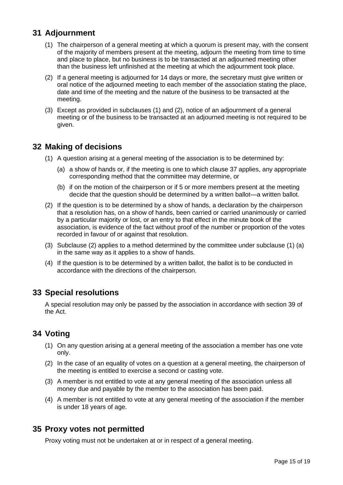# <span id="page-15-0"></span>**31 Adjournment**

- (1) The chairperson of a general meeting at which a quorum is present may, with the consent of the majority of members present at the meeting, adjourn the meeting from time to time and place to place, but no business is to be transacted at an adjourned meeting other than the business left unfinished at the meeting at which the adjournment took place.
- (2) If a general meeting is adjourned for 14 days or more, the secretary must give written or oral notice of the adjourned meeting to each member of the association stating the place, date and time of the meeting and the nature of the business to be transacted at the meeting.
- (3) Except as provided in subclauses (1) and (2), notice of an adjournment of a general meeting or of the business to be transacted at an adjourned meeting is not required to be given.

#### <span id="page-15-1"></span>**32 Making of decisions**

- (1) A question arising at a general meeting of the association is to be determined by:
	- (a) a show of hands or, if the meeting is one to which clause 37 applies, any appropriate corresponding method that the committee may determine, or
	- (b) if on the motion of the chairperson or if 5 or more members present at the meeting decide that the question should be determined by a written ballot—a written ballot.
- (2) If the question is to be determined by a show of hands, a declaration by the chairperson that a resolution has, on a show of hands, been carried or carried unanimously or carried by a particular majority or lost, or an entry to that effect in the minute book of the association, is evidence of the fact without proof of the number or proportion of the votes recorded in favour of or against that resolution.
- (3) Subclause (2) applies to a method determined by the committee under subclause (1) (a) in the same way as it applies to a show of hands.
- (4) If the question is to be determined by a written ballot, the ballot is to be conducted in accordance with the directions of the chairperson.

# <span id="page-15-2"></span>**33 Special resolutions**

A special resolution may only be passed by the association in accordance with section 39 of the Act.

# <span id="page-15-3"></span>**34 Voting**

- (1) On any question arising at a general meeting of the association a member has one vote only.
- (2) In the case of an equality of votes on a question at a general meeting, the chairperson of the meeting is entitled to exercise a second or casting vote.
- (3) A member is not entitled to vote at any general meeting of the association unless all money due and payable by the member to the association has been paid.
- (4) A member is not entitled to vote at any general meeting of the association if the member is under 18 years of age.

#### <span id="page-15-4"></span>**35 Proxy votes not permitted**

Proxy voting must not be undertaken at or in respect of a general meeting.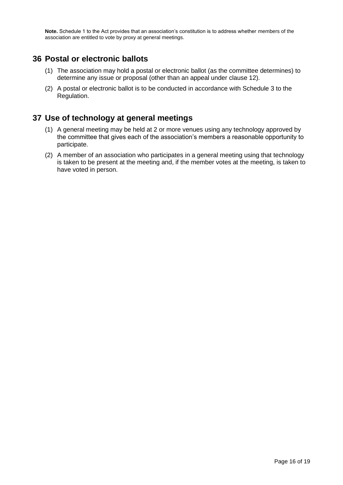**Note.** Schedule 1 to the Act provides that an association's constitution is to address whether members of the association are entitled to vote by proxy at general meetings.

#### <span id="page-16-0"></span>**36 Postal or electronic ballots**

- (1) The association may hold a postal or electronic ballot (as the committee determines) to determine any issue or proposal (other than an appeal under clause 12).
- (2) A postal or electronic ballot is to be conducted in accordance with Schedule 3 to the Regulation.

#### <span id="page-16-1"></span>**37 Use of technology at general meetings**

- (1) A general meeting may be held at 2 or more venues using any technology approved by the committee that gives each of the association's members a reasonable opportunity to participate.
- (2) A member of an association who participates in a general meeting using that technology is taken to be present at the meeting and, if the member votes at the meeting, is taken to have voted in person.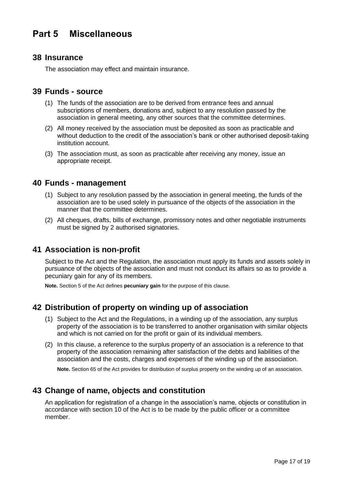# <span id="page-17-0"></span>**Part 5 Miscellaneous**

#### <span id="page-17-1"></span>**38 Insurance**

The association may effect and maintain insurance.

#### <span id="page-17-2"></span>**39 Funds - source**

- (1) The funds of the association are to be derived from entrance fees and annual subscriptions of members, donations and, subject to any resolution passed by the association in general meeting, any other sources that the committee determines.
- (2) All money received by the association must be deposited as soon as practicable and without deduction to the credit of the association's bank or other authorised deposit-taking institution account.
- (3) The association must, as soon as practicable after receiving any money, issue an appropriate receipt.

#### <span id="page-17-3"></span>**40 Funds - management**

- (1) Subject to any resolution passed by the association in general meeting, the funds of the association are to be used solely in pursuance of the objects of the association in the manner that the committee determines.
- (2) All cheques, drafts, bills of exchange, promissory notes and other negotiable instruments must be signed by 2 authorised signatories.

#### <span id="page-17-4"></span>**41 Association is non-profit**

Subject to the Act and the Regulation, the association must apply its funds and assets solely in pursuance of the objects of the association and must not conduct its affairs so as to provide a pecuniary gain for any of its members.

**Note.** Section 5 of the Act defines **pecuniary gain** for the purpose of this clause.

# <span id="page-17-5"></span>**42 Distribution of property on winding up of association**

- (1) Subject to the Act and the Regulations, in a winding up of the association, any surplus property of the association is to be transferred to another organisation with similar objects and which is not carried on for the profit or gain of its individual members.
- (2) In this clause, a reference to the surplus property of an association is a reference to that property of the association remaining after satisfaction of the debts and liabilities of the association and the costs, charges and expenses of the winding up of the association.

**Note.** Section 65 of the Act provides for distribution of surplus property on the winding up of an association.

#### <span id="page-17-6"></span>**43 Change of name, objects and constitution**

An application for registration of a change in the association's name, objects or constitution in accordance with section 10 of the Act is to be made by the public officer or a committee member.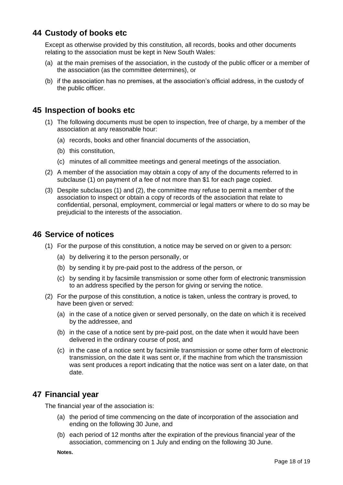# <span id="page-18-0"></span>**44 Custody of books etc**

Except as otherwise provided by this constitution, all records, books and other documents relating to the association must be kept in New South Wales:

- (a) at the main premises of the association, in the custody of the public officer or a member of the association (as the committee determines), or
- (b) if the association has no premises, at the association's official address, in the custody of the public officer.

#### <span id="page-18-1"></span>**45 Inspection of books etc**

- (1) The following documents must be open to inspection, free of charge, by a member of the association at any reasonable hour:
	- (a) records, books and other financial documents of the association,
	- (b) this constitution,
	- (c) minutes of all committee meetings and general meetings of the association.
- (2) A member of the association may obtain a copy of any of the documents referred to in subclause (1) on payment of a fee of not more than \$1 for each page copied.
- (3) Despite subclauses (1) and (2), the committee may refuse to permit a member of the association to inspect or obtain a copy of records of the association that relate to confidential, personal, employment, commercial or legal matters or where to do so may be prejudicial to the interests of the association.

#### <span id="page-18-2"></span>**46 Service of notices**

- (1) For the purpose of this constitution, a notice may be served on or given to a person:
	- (a) by delivering it to the person personally, or
	- (b) by sending it by pre-paid post to the address of the person, or
	- (c) by sending it by facsimile transmission or some other form of electronic transmission to an address specified by the person for giving or serving the notice.
- (2) For the purpose of this constitution, a notice is taken, unless the contrary is proved, to have been given or served:
	- (a) in the case of a notice given or served personally, on the date on which it is received by the addressee, and
	- (b) in the case of a notice sent by pre-paid post, on the date when it would have been delivered in the ordinary course of post, and
	- (c) in the case of a notice sent by facsimile transmission or some other form of electronic transmission, on the date it was sent or, if the machine from which the transmission was sent produces a report indicating that the notice was sent on a later date, on that date.

#### <span id="page-18-3"></span>**47 Financial year**

The financial year of the association is:

- (a) the period of time commencing on the date of incorporation of the association and ending on the following 30 June, and
- (b) each period of 12 months after the expiration of the previous financial year of the association, commencing on 1 July and ending on the following 30 June.

**Notes.**